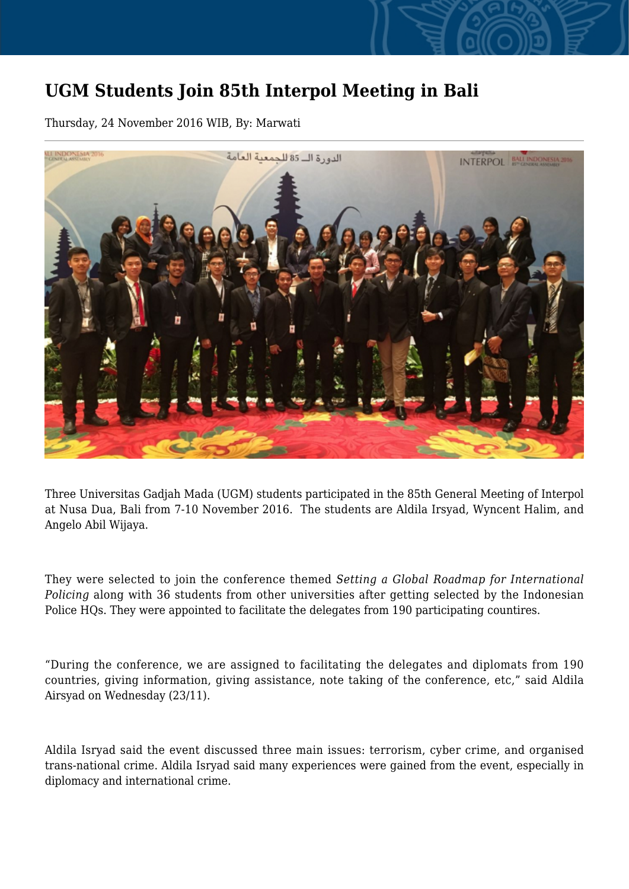## **UGM Students Join 85th Interpol Meeting in Bali**

Thursday, 24 November 2016 WIB, By: Marwati



Three Universitas Gadjah Mada (UGM) students participated in the 85th General Meeting of Interpol at Nusa Dua, Bali from 7-10 November 2016. The students are Aldila Irsyad, Wyncent Halim, and Angelo Abil Wijaya.

They were selected to join the conference themed *Setting a Global Roadmap for International Policing* along with 36 students from other universities after getting selected by the Indonesian Police HQs. They were appointed to facilitate the delegates from 190 participating countires.

"During the conference, we are assigned to facilitating the delegates and diplomats from 190 countries, giving information, giving assistance, note taking of the conference, etc," said Aldila Airsyad on Wednesday (23/11).

Aldila Isryad said the event discussed three main issues: terrorism, cyber crime, and organised trans-national crime. Aldila Isryad said many experiences were gained from the event, especially in diplomacy and international crime.